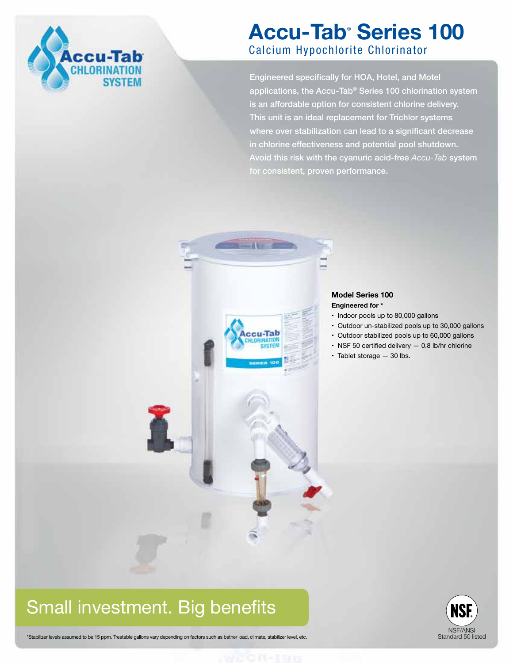

## **Accu-Tab**®  **Series 100** Calcium Hypochlorite Chlorinator

Engineered specifically for HOA, Hotel, and Motel applications, the Accu-Tab® Series 100 chlorination system is an affordable option for consistent chlorine delivery. This unit is an ideal replacement for Trichlor systems where over stabilization can lead to a significant decrease in chlorine effectiveness and potential pool shutdown. Avoid this risk with the cyanuric acid-free *Accu-Tab* system for consistent, proven performance.



#### **Model Series 100 Engineered for \***

- Indoor pools up to 80,000 gallons
- Outdoor un-stabilized pools up to 30,000 gallons
- Outdoor stabilized pools up to 60,000 gallons
- NSF 50 certified delivery 0.8 lb/hr chlorine
- Tablet storage 30 lbs.

## Small investment. Big benefits